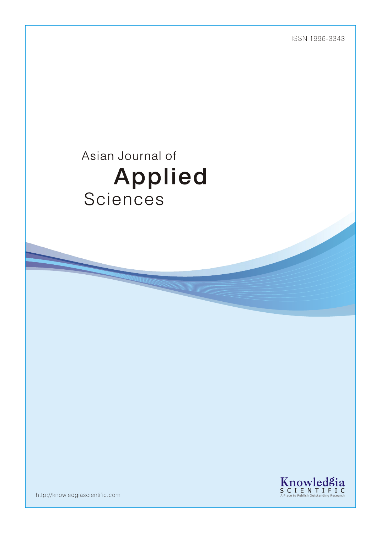ISSN 1996-3343

# Asian Journal of Applied Sciences



http://knowledgiascientific.com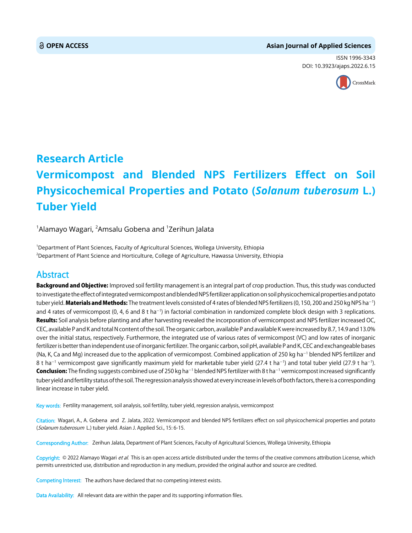#### **OPEN ACCESS Asian Journal of Applied Sciences**

ISSN 1996-3343 DOI: 10.3923/ajaps.2022.6.15



## **Research Article Vermicompost and Blended NPS Fertilizers Effect on Soil Physicochemical Properties and Potato (***Solanum tuberosum* **L.) Tuber Yield**

 $^{\rm 1}$ Alamayo Wagari,  $^{\rm 2}$ Amsalu Gobena and  $^{\rm 1}$ Zerihun Jalata

1 Department of Plant Sciences, Faculty of Agricultural Sciences, Wollega University, Ethiopia 2 Department of Plant Science and Horticulture, College of Agriculture, Hawassa University, Ethiopia

### Abstract

Background and Objective: Improved soil fertility management is an integral part of crop production. Thus, this study was conducted to investigate the effect of integrated vermicompost and blended NPS fertilizer application on soil physicochemical properties and potato tuber yield. **Materials and Methods:** The treatment levels consisted of 4 rates of blended NPS fertilizers (0, 150, 200 and 250 kg NPS ha<sup>–1</sup>) and 4 rates of vermicompost (0, 4, 6 and 8 t ha<sup>-1</sup>) in factorial combination in randomized complete block design with 3 replications. Results: Soil analysis before planting and after harvesting revealed the incorporation of vermicompost and NPS fertilizer increased OC, CEC, available P and K and total N content of the soil. The organic carbon, available P and available K were increased by 8.7, 14.9 and 13.0% over the initial status, respectively. Furthermore, the integrated use of various rates of vermicompost (VC) and low rates of inorganic fertilizer is better than independent use of inorganic fertilizer. The organic carbon, soil pH, available P and K, CEC and exchangeable bases (Na, K, Ca and Mg) increased due to the application of vermicompost. Combined application of 250 kg ha<sup>-1</sup> blended NPS fertilizer and 8 t ha $^{-1}$  vermicompost gave significantly maximum yield for marketable tuber yield (27.4 t ha $^{-1}$ ) and total tuber yield (27.9 t ha $^{-1}$ ). Conclusion: The finding suggests combined use of 250 kg ha<sup>-1</sup> blended NPS fertilizer with 8 t ha<sup>-1</sup> vermicompost increased significantly tuber yield and fertility status of the soil. The regression analysis showed at every increase in levels of both factors, there is a corresponding linear increase in tuber yield.

Key words: Fertility management, soil analysis, soil fertility, tuber yield, regression analysis, vermicompost

Citation: Wagari, A., A. Gobena and Z. Jalata, 2022. Vermicompost and blended NPS fertilizers effect on soil physicochemical properties and potato (Solanum tuberosum L.) tuber yield. Asian J. Applied Sci., 15: 6-15.

Corresponding Author: Zerihun Jalata, Department of Plant Sciences, Faculty of Agricultural Sciences, Wollega University, Ethiopia

Copyright: © 2022 Alamayo Wagari et al. This is an open access article distributed under the terms of the creative commons attribution License, which permits unrestricted use, distribution and reproduction in any medium, provided the original author and source are credited.

Competing Interest: The authors have declared that no competing interest exists.

Data Availability: All relevant data are within the paper and its supporting information files.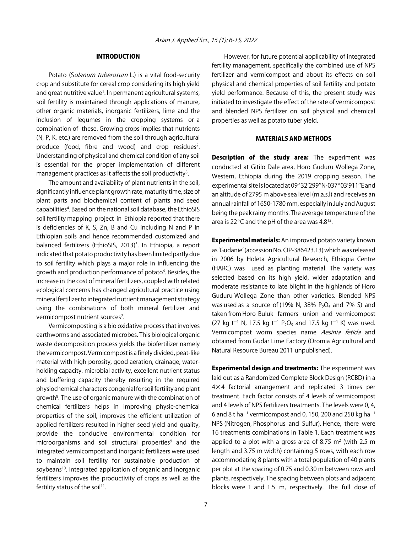#### INTRODUCTION

Potato (Solanum tuberosum L.) is a vital food-security crop and substitute for cereal crop considering its high yield and great nutritive value<sup>1</sup>. In permanent agricultural systems, soil fertility is maintained through applications of manure, other organic materials, inorganic fertilizers, lime and the inclusion of legumes in the cropping systems or a combination of these. Growing crops implies that nutrients (N, P, K, etc.) are removed from the soil through agricultural produce (food, fibre and wood) and crop residues<sup>2</sup>. Understanding of physical and chemical condition of any soil is essential for the proper implementation of different management practices as it affects the soil productivity<sup>3</sup>.

The amount and availability of plant nutrients in the soil, significantly influence plant growth rate, maturity time, size of plant parts and biochemical content of plants and seed capabilities<sup>4</sup>. Based on the national soil database, the EthioSIS soil fertility mapping project in Ethiopia reported that there is deficiencies of K, S, Zn, B and Cu including N and P in Ethiopian soils and hence recommended customized and balanced fertilizers (EthioSIS, 2013)<sup>5</sup>. In Ethiopia, a report indicated that potato productivity has been limited partly due to soil fertility which plays a major role in influencing the growth and production performance of potato<sup>6</sup>. Besides, the increase in the cost of mineral fertilizers, coupled with related ecological concerns has changed agricultural practice using mineral fertilizer to integrated nutrient management strategy using the combinations of both mineral fertilizer and vermicompost nutrient sources<sup>7</sup>.

Vermicomposting is a bio oxidative process that involves earthworms and associated microbes. This biological organic waste decomposition process yields the biofertilizer namely the vermicompost. Vermicompost is a finely divided, peat-like material with high porosity, good aeration, drainage, waterholding capacity, microbial activity, excellent nutrient status and buffering capacity thereby resulting in the required physiochemical characters congenial for soil fertility and plant growth<sup>8</sup>. The use of organic manure with the combination of chemical fertilizers helps in improving physic-chemical properties of the soil, improves the efficient utilization of applied fertilizers resulted in higher seed yield and quality, provide the conducive environmental condition for microorganisms and soil structural properties<sup>9</sup> and the integrated vermicompost and inorganic fertilizers were used to maintain soil fertility for sustainable production of soybeans<sup>10</sup>. Integrated application of organic and inorganic fertilizers improves the productivity of crops as well as the fertility status of the soil<sup>11</sup>.

However, for future potential applicability of integrated fertility management, specifically the combined use of NPS fertilizer and vermicompost and about its effects on soil physical and chemical properties of soil fertility and potato yield performance. Because of this, the present study was initiated to investigate the effect of the rate of vermicompost and blended NPS fertilizer on soil physical and chemical properties as well as potato tuber yield.

#### MATERIALS AND METHODS

Description of the study area: The experiment was conducted at Gitilo Dale area, Horo Guduru Wollega Zone, Western, Ethiopia during the 2019 cropping season. The experimental site is located at 09°32'299"N-037°03'911"E and an altitude of 2795 m above sea level (m.a.s.l) and receives an annual rainfall of 1650-1780 mm, especially in July and August being the peak rainy months. The average temperature of the area is 22 $\degree$ C and the pH of the area was 4.8<sup>12</sup>.

**Experimental materials:** An improved potato variety known as ʻGudanie' (accession No. CIP-386423.13) which was released in 2006 by Holeta Agricultural Research, Ethiopia Centre (HARC) was used as planting material. The variety was selected based on its high yield, wider adaptation and moderate resistance to late blight in the highlands of Horo Guduru Wollega Zone than other varieties. Blended NPS was used as a source of (19% N, 38%  $P_2O_5$  and 7% S) and taken from Horo Buluk farmers union and vermicompost (27 kg t<sup>-1</sup> N, 17.5 kg t<sup>-1</sup> P<sub>2</sub>O<sub>5</sub> and 17.5 kg t<sup>-1</sup> K) was used. Vermicompost worm species name Aesinia fetida and obtained from Gudar Lime Factory (Oromia Agricultural and Natural Resource Bureau 2011 unpublished).

**Experimental design and treatments:** The experiment was laid out as a Randomized Complete Block Design (RCBD) in a 4×4 factorial arrangement and replicated 3 times per treatment. Each factor consists of 4 levels of vermicompost and 4 levels of NPS fertilizers treatments. The levels were 0, 4, 6 and 8 t ha<sup>-1</sup> vermicompost and 0, 150, 200 and 250 kg ha<sup>-1</sup> NPS (Nitrogen, Phosphorus and Sulfur). Hence, there were 16 treatments combinations in Table 1. Each treatment was applied to a plot with a gross area of 8.75  $m<sup>2</sup>$  (with 2.5 m length and 3.75 m width) containing 5 rows, with each row accommodating 8 plants with a total population of 40 plants per plot at the spacing of 0.75 and 0.30 m between rows and plants, respectively. The spacing between plots and adjacent blocks were 1 and 1.5 m, respectively. The full dose of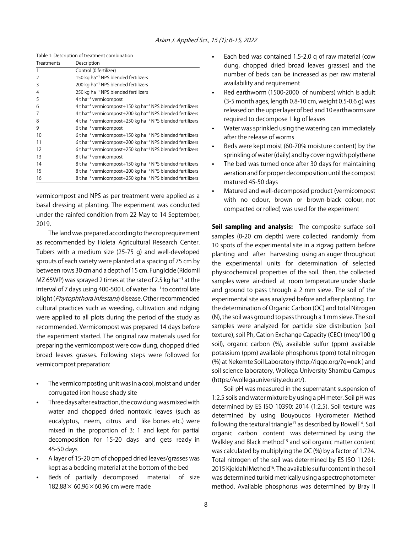|                   | Table 1: Description of treatment combination                                                               |
|-------------------|-------------------------------------------------------------------------------------------------------------|
| <b>Treatments</b> | Description                                                                                                 |
| 1                 | Control (0 fertilizer)                                                                                      |
| $\overline{2}$    | 150 kg ha <sup><math>-1</math></sup> NPS blended fertilizers                                                |
| 3                 | 200 kg ha <sup><math>-1</math></sup> NPS blended fertilizers                                                |
| $\overline{4}$    | 250 kg ha <sup><math>-1</math></sup> NPS blended fertilizers                                                |
| 5                 | $4$ t ha <sup>-1</sup> vermicompost                                                                         |
| 6                 | 4 t ha <sup><math>-1</math></sup> vermicompost+150 kg ha <sup><math>-1</math></sup> NPS blended fertilizers |
| 7                 | 4 t ha <sup><math>-1</math></sup> vermicompost+200 kg ha <sup><math>-1</math></sup> NPS blended fertilizers |
| 8                 | 4 t ha <sup><math>-1</math></sup> vermicompost+250 kg ha <sup><math>-1</math></sup> NPS blended fertilizers |
| 9                 | $6t$ ha <sup>-1</sup> vermicompost                                                                          |
| 10                | 6 t ha <sup><math>-1</math></sup> vermicompost+150 kg ha <sup><math>-1</math></sup> NPS blended fertilizers |
| 11                | 6 t ha <sup><math>-1</math></sup> vermicompost+200 kg ha <sup><math>-1</math></sup> NPS blended fertilizers |
| 12                | 6 t ha <sup>-1</sup> vermicompost+250 kg ha <sup>-1</sup> NPS blended fertilizers                           |
| 13                | 8 t ha <sup>-1</sup> vermicompost                                                                           |
| 14                | 8 t ha <sup>-1</sup> vermicompost+150 kg ha <sup>-1</sup> NPS blended fertilizers                           |
| 15                | 8 t ha <sup>-1</sup> vermicompost+200 kg ha <sup>-1</sup> NPS blended fertilizers                           |
| 16                | 8 t ha <sup>-1</sup> vermicompost+250 kg ha <sup>-1</sup> NPS blended fertilizers                           |

vermicompost and NPS as per treatment were applied as a basal dressing at planting. The experiment was conducted under the rainfed condition from 22 May to 14 September, 2019.

The land was prepared according to the crop requirement as recommended by Holeta Agricultural Research Center. Tubers with a medium size (25-75 g) and well-developed sprouts of each variety were planted at a spacing of 75 cm by between rows 30 cm and a depth of 15 cm. Fungicide (Ridomil MZ 65WP) was sprayed 2 times at the rate of 2.5 kg ha $^{-1}$  at the interval of 7 days using 400-500 L of water ha<sup>-1</sup> to control late blight (Phytophthora infestans) disease. Other recommended cultural practices such as weeding, cultivation and ridging were applied to all plots during the period of the study as recommended. Vermicompost was prepared 14 days before the experiment started. The original raw materials used for preparing the vermicompost were cow dung, chopped dried broad leaves grasses. Following steps were followed for vermicompost preparation:

- The vermicomposting unit was in a cool, moist and under corrugated iron house shady site
- Three days after extraction, the cow dung was mixed with water and chopped dried nontoxic leaves (such as eucalyptus, neem, citrus and like bones etc.) were mixed in the proportion of 3: 1 and kept for partial decomposition for 15-20 days and gets ready in 45-50 days
- A layer of 15-20 cm of chopped dried leaves/grasses was kept as a bedding material at the bottom of the bed
- Beds of partially decomposed material of size 182.88× 60.96×60.96 cm were made
- Each bed was contained 1.5-2.0 g of raw material (cow dung, chopped dried broad leaves grasses) and the number of beds can be increased as per raw material availability and requirement
- Red earthworm (1500-2000 of numbers) which is adult (3-5 month ages, length 0.8-10 cm, weight 0.5-0.6 g) was released on the upper layer of bed and 10 earthworms are required to decompose 1 kg of leaves
- Water was sprinkled using the watering can immediately after the release of worms
- Beds were kept moist (60-70% moisture content) by the sprinkling of water (daily) and by covering with polythene
- The bed was turned once after 30 days for maintaining aeration and for proper decomposition until the compost matured 45-50 days
- Matured and well-decomposed product (vermicompost with no odour, brown or brown-black colour, not compacted or rolled) was used for the experiment

Soil sampling and analysis: The composite surface soil samples (0-20 cm depth) were collected randomly from 10 spots of the experimental site in a zigzag pattern before planting and after harvesting using an auger throughout the experimental units for determination of selected physicochemical properties of the soil. Then, the collected samples were air-dried at room temperature under shade and ground to pass through a 2 mm sieve. The soil of the experimental site was analyzed before and after planting. For the determination of Organic Carbon (OC) and total Nitrogen (N), the soil was ground to pass through a 1 mm sieve. The soil samples were analyzed for particle size distribution (soil texture), soil Ph, Cation Exchange Capacity (CEC) (meq/100 g soil), organic carbon (%), available sulfur (ppm) available potassium (ppm) available phosphorus (ppm) total nitrogen (%) at Nekemte Soil Laboratory (http://iqqo.org/?q=nek ) and soil science laboratory, Wollega University Shambu Campus (https://wollegauniversity.edu.et/).

Soil pH was measured in the supernatant suspension of 1:2.5 soils and water mixture by using a pH meter. Soil pH was determined by ES ISO 10390: 2014 (1:2.5). Soil texture was determined by using Bouyoucos Hydrometer Method following the textural triangle<sup>13</sup> as described by Rowell<sup>14</sup>. Soil organic carbon content was determined by using the Walkley and Black method<sup>15</sup> and soil organic matter content was calculated by multiplying the OC (%) by a factor of 1.724. Total nitrogen of the soil was determined by ES ISO 11261: 2015 Kjeldahl Method<sup>16</sup>. The available sulfur content in the soil was determined turbid metrically using a spectrophotometer method. Available phosphorus was determined by Bray II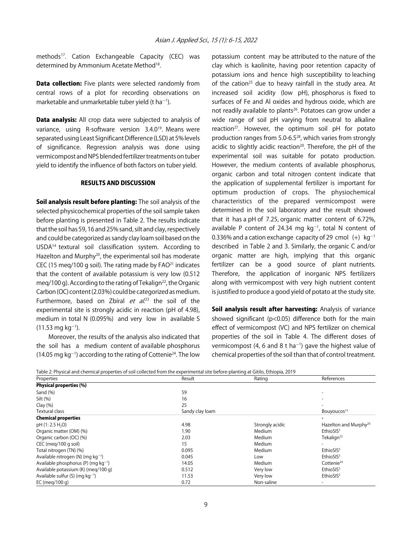methods<sup>17</sup>. Cation Exchangeable Capacity (CEC) was determined by Ammonium Acetate Method<sup>18</sup>.

**Data collection:** Five plants were selected randomly from central rows of a plot for recording observations on marketable and unmarketable tuber yield (t ha<sup>-1</sup>).

Data analysis: All crop data were subjected to analysis of variance, using R-software version 3.4.0<sup>19</sup>. Means were separated using Least Significant Difference (LSD) at 5% levels of significance. Regression analysis was done using vermicompost and NPS blended fertilizer treatments on tuber yield to identify the influence of both factors on tuber yield.

#### RESULTS AND DISCUSSION

Soil analysis result before planting: The soil analysis of the selected physicochemical properties of the soil sample taken before planting is presented in Table 2. The results indicate that the soil has 59, 16 and 25% sand, silt and clay, respectively and could be categorized as sandy clay loam soil based on the USDA14 textural soil classification system. According to Hazelton and Murphy<sup>20</sup>, the experimental soil has moderate CEC (15 meg/100 g soil). The rating made by  $FAO<sup>21</sup>$  indicates that the content of available potassium is very low (0.512 meg/100 g). According to the rating of Tekalign<sup>22</sup>, the Organic Carbon (OC) content (2.03%) could be categorized as medium. Furthermore, based on Zbíral et al.<sup>23</sup> the soil of the experimental site is strongly acidic in reaction (pH of 4.98), medium in total N (0.095%) and very low in available S  $(11.53 \text{ mg kg}^{-1}).$ 

Moreover, the results of the analysis also indicated that the soil has a medium content of available phosphorus  $(14.05 \text{ mg kg}^{-1})$  according to the rating of Cottenie<sup>24</sup>. The low

potassium content may be attributed to the nature of the clay which is kaolinite, having poor retention capacity of potassium ions and hence high susceptibility to leaching of the cation<sup>25</sup> due to heavy rainfall in the study area. At increased soil acidity (low pH), phosphorus is fixed to surfaces of Fe and Al oxides and hydrous oxide, which are not readily available to plants<sup>26</sup>. Potatoes can grow under a wide range of soil pH varying from neutral to alkaline reaction<sup>27</sup>. However, the optimum soil pH for potato production ranges from 5.0-6.528, which varies from strongly acidic to slightly acidic reaction<sup>20</sup>. Therefore, the pH of the experimental soil was suitable for potato production. However, the medium contents of available phosphorus, organic carbon and total nitrogen content indicate that the application of supplemental fertilizer is important for optimum production of crops. The physiochemical characteristics of the prepared vermicompost were determined in the soil laboratory and the result showed that it has a pH of 7.25, organic matter content of 6.72%, available P content of 24.34 mg  $kg^{-1}$ , total N content of 0.336% and a cation exchange capacity of 29 cmol  $(+)$  kg<sup>-1</sup> described in Table 2 and 3. Similarly, the organic C and/or organic matter are high, implying that this organic fertilizer can be a good source of plant nutrients. Therefore, the application of inorganic NPS fertilizers along with vermicompost with very high nutrient content is justified to produce a good yield of potato at the study site.

Soil analysis result after harvesting: Analysis of variance showed significant (p<0.05) difference both for the main effect of vermicompost (VC) and NPS fertilizer on chemical properties of the soil in Table 4. The different doses of vermicompost (4, 6 and 8 t ha<sup>-1</sup>) gave the highest value of chemical properties of the soil than that of control treatment.

Table 2: Physical and chemical properties of soil collected from the experimental site before-planting at Gitilo, Ethiopia, 2019

| rabic 2.1 mysical and chemical properties of soil conceted nomit the experimental site before planting at Gitnop Ethiopia, 2015 |                 |                 |                                   |
|---------------------------------------------------------------------------------------------------------------------------------|-----------------|-----------------|-----------------------------------|
| Properties                                                                                                                      | Result          | Rating          | References                        |
| Physical properties (%)                                                                                                         |                 |                 |                                   |
| Sand $(\%)$                                                                                                                     | 59              |                 |                                   |
| Silt (%)                                                                                                                        | 16              |                 |                                   |
| Clay(%)                                                                                                                         | 25              |                 |                                   |
| Textural class                                                                                                                  | Sandy clay loam |                 | Bouyoucos <sup>13</sup>           |
| <b>Chemical properties</b>                                                                                                      |                 |                 |                                   |
| pH (1: 2.5 H <sub>2</sub> O)                                                                                                    | 4.98            | Strongly acidic | Hazelton and Murphy <sup>20</sup> |
| Organic matter (OM) (%)                                                                                                         | 1.90            | Medium          | EthioSIS <sup>5</sup>             |
| Organic carbon (OC) (%)                                                                                                         | 2.03            | Medium          | Tekalign <sup>22</sup>            |
| CEC (meg/100 g soil)                                                                                                            | 15              | Medium          |                                   |
| Total nitrogen (TN) (%)                                                                                                         | 0.095           | Medium          | EthioSIS <sup>5</sup>             |
| Available nitrogen (N) (mg $kq^{-1}$ )                                                                                          | 0.045           | Low             | EthioSIS <sup>5</sup>             |
| Available phosphorus (P) (mg $kg^{-1}$ )                                                                                        | 14.05           | Medium          | Cottenie <sup>24</sup>            |
| Available potassium (K) (meg/100 g)                                                                                             | 0.512           | Very low        | EthioSIS <sup>5</sup>             |
| Available sulfur $(S)$ (mg kg <sup>-1</sup> )                                                                                   | 11.53           | Very low        | EthioSIS <sup>5</sup>             |
| EC (meg/100 g)                                                                                                                  | 0.72            | Non-saline      |                                   |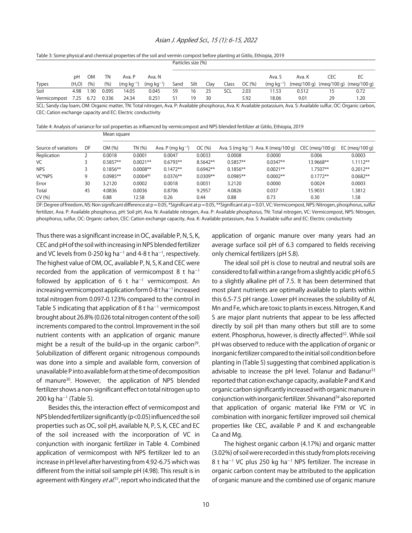#### Asian J. Applied Sci., 15 (1): 6-15, 2022

#### Table 3: Some physical and chemical properties of the soil and vermin compost before planting at Gitilo, Ethiopia, 2019

|              |                    |       |       |                |                | Particles size (%) |      |      |       |       |                |             |     |                         |
|--------------|--------------------|-------|-------|----------------|----------------|--------------------|------|------|-------|-------|----------------|-------------|-----|-------------------------|
|              | рH                 | 0M    | TN    | Ava. P         | Ava. N         |                    |      |      |       |       | Ava. S         | Ava. K      | CEC |                         |
| Types        | (H <sub>2</sub> O) | (9/6) | (9/6) | $(mq kq^{-1})$ | $(mq kq^{-1})$ | Sand               | Silt | Clay | Class | OC(%) | $(mq kq^{-1})$ | (meg/100 g) |     | (meg/100 g) (meg/100 g) |
| Soil         | 4.98               | .90   | 0.095 | 4.05           | 0.045          | 59                 | 16   | 25   | SCL   | 2.03  | ' 1.53         | 0.512       |     | 0.72                    |
| Vermicompost | 7.25               | 6.72  | 0.336 | 24.34          | 0.251          | 51                 | 19   | 30   |       | 5.92  | 18.06          | 9.01        | 29  | .20                     |

SCL: Sandy clay loam, OM: Organic matter, TN: Total nitrogen, Ava. P: Available phosphorus, Ava. K: Available potassium, Ava. S: Available sulfur, OC: Organic carbon, CEC: Cation exchange capacity and EC: Electric conductivity

Table 4: Analysis of variance for soil properties as influenced by vermicompost and NPS blended fertilizer at Gitilo, Ethiopia, 2019

| DF | OM (%)     | TN (%)        | Ava. P (mg $kg^{-1}$ ) | OC(%)      |            |            |            | EC (meg/100 g)                                                   |
|----|------------|---------------|------------------------|------------|------------|------------|------------|------------------------------------------------------------------|
|    | 0.0018     | 0.0001        | 0.0047                 | 0.0033     | 0.0008     | 0.0000     | 0.006      | 0.0003                                                           |
|    | $0.5857**$ | $0.0021**$    | $0.6793**$             | 8.5642**   | $0.5857**$ | $0.0347**$ | 13.9668**  | $1.1112**$                                                       |
|    | $0.1856**$ | $0.0008**$    | $0.1472**$             | $0.6942**$ | $0.1856**$ | $0.0021**$ | $1.7507**$ | $0.2012**$                                                       |
|    | $0.0985**$ | $0.0004^{NS}$ | $0.0376**$             | $0.0309**$ | $0.0985**$ | $0.0002**$ | $0.1772**$ | $0.0682**$                                                       |
| 30 | 3.2120     | 0.0002        | 0.0018                 | 0.0031     | 3.2120     | 0.0000     | 0.0024     | 0.0003                                                           |
| 45 | 4.0836     | 0.0036        | 0.8706                 | 9.2957     | 4.0826     | 0.037      | 15.9031    | 1.3812                                                           |
|    | 0.88       | 12.58         | 0.26                   | 0.44       | 0.88       | 0.73       | 0.30       | 1.58                                                             |
|    |            |               |                        |            |            |            |            | Ava. S (mg kg <sup>-1</sup> ) Ava. K (meg/100 g) CEC (meg/100 g) |

DF: Degree of freedom, NS: Non significant difference at p = 0.05, \*Significant at p = 0.05, \*\*Significant at p = 0.01, VC: Vermicompost, NPS: Nitrogen, phosphorus, sulfur fertilizer, Ava. P: Available phosphorus, pH: Soil pH, Ava. N: Available nitrogen, Ava. P: Available phosphorus, TN: Total nitrogen, VC: Vermicompost, NPS: Nitrogen, phosphorus, sulfur, OC: Organic carbon, CEC: Cation exchange capacity, Ava. K: Available potassium, Ava. S: Available sulfur and EC: Electric conductivity

Thus there was a significant increase in OC, available P, N, S, K, CEC and pH of the soil with increasing in NPS blended fertilizer and VC levels from 0-250 kg ha $^{-1}$  and 4-8 t ha $^{-1}$ , respectively. The highest value of OM, OC, available P, N, S, K and CEC were recorded from the application of vermicompost 8 t ha<sup>-1</sup> followed by application of 6 t  $ha^{-1}$  vermicompost. An increasing vermicompost application form 0-8 t ha $^{-1}$  increased total nitrogen from 0.097-0.123% compared to the control in Table 5 indicating that application of 8 t ha<sup> $-1$ </sup> vermicompost brought about 26.8% (0.026 total nitrogen content of the soil) increments compared to the control. Improvement in the soil nutrient contents with an application of organic manure might be a result of the build-up in the organic carbon<sup>29</sup>. Solubilization of different organic nitrogenous compounds was done into a simple and available form, conversion of unavailable P into available form at the time of decomposition of manure<sup>30</sup>. However, the application of NPS blended fertilizer shows a non-significant effect on total nitrogen up to  $200$  kg ha<sup>-1</sup> (Table 5).

Mean square

Besides this, the interaction effect of vermicompost and NPS blended fertilizer significantly (p<0.05) influenced the soil properties such as OC, soil pH, available N, P, S, K, CEC and EC of the soil increased with the incorporation of VC in conjunction with inorganic fertilizer in Table 4. Combined application of vermicompost with NPS fertilizer led to an increase in pH level after harvesting from 4.92-6.75 which was different from the initial soil sample pH (4.98). This result is in agreement with Kingery *et al*.<sup>31</sup>, report who indicated that the

application of organic manure over many years had an average surface soil pH of 6.3 compared to fields receiving only chemical fertilizers (pH 5.8).

The ideal soil pH is close to neutral and neutral soils are considered to fall within a range from a slightly acidic pH of 6.5 to a slightly alkaline pH of 7.5. It has been determined that most plant nutrients are optimally available to plants within this 6.5-7.5 pH range. Lower pH increases the solubility of Al, Mn and Fe, which are toxic to plants in excess. Nitrogen, K and S are major plant nutrients that appear to be less affected directly by soil pH than many others but still are to some extent. Phosphorus, however, is directly affected<sup>32</sup>. While soil pH was observed to reduce with the application of organic or inorganic fertilizer compared to the initial soil condition before planting in (Table 5) suggesting that combined application is advisable to increase the pH level. Tolanur and Badanur<sup>33</sup> reported that cation exchange capacity, available P and K and organic carbon significantly increased with organic manure in conjunction with inorganic fertilizer. Shivanand34 also reported that application of organic material like FYM or VC in combination with inorganic fertilizer improved soil chemical properties like CEC, available P and K and exchangeable Ca and Mg.

The highest organic carbon (4.17%) and organic matter (3.02%) of soil were recorded in this study from plots receiving  $8$  t ha $^{-1}$  VC plus 250 kg ha $^{-1}$  NPS fertilizer. The increase in organic carbon content may be attributed to the application of organic manure and the combined use of organic manure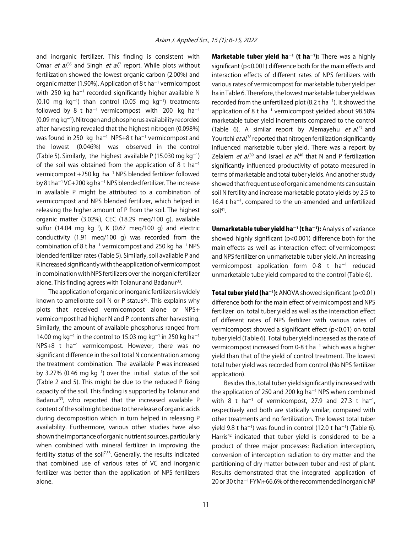and inorganic fertilizer. This finding is consistent with Omar *et al.*<sup>35</sup> and Singh *et al.*<sup>7</sup> report. While plots without fertilization showed the lowest organic carbon (2.00%) and organic matter (1.90%). Application of 8 t ha<sup>-1</sup> vermicompost with 250 kg ha $^{-1}$  recorded significantly higher available N  $(0.10 \text{ mg kg}^{-1})$  than control  $(0.05 \text{ mg kg}^{-1})$  treatments followed by 8 t ha<sup>-1</sup> vermicompost with 200 kg ha<sup>-1</sup>  $(0.09$  mg kg<sup>-1</sup>). Nitrogen and phosphorus availability recorded after harvesting revealed that the highest nitrogen (0.098%) was found in 250 kg  $ha^{-1}$  NPS+8 t ha<sup>-1</sup> vermicompost and the lowest (0.046%) was observed in the control (Table 5). Similarly, the highest available P (15.030 mg  $kg^{-1}$ ) of the soil was obtained from the application of 8 t ha<sup>-1</sup> vermicompost +250 kg ha<sup>-1</sup> NPS blended fertilizer followed by 8 t ha<sup>-1</sup> VC+200 kg ha<sup>-1</sup> NPS blended fertilizer. The increase in available P might be attributed to a combination of vermicompost and NPS blended fertilizer, which helped in releasing the higher amount of P from the soil. The highest organic matter (3.02%), CEC (18.29 meq/100 g), available sulfur (14.04 mg  $kg^{-1}$ ), K (0.67 meq/100 g) and electric conductivity (1.91 meq/100 g) was recorded from the combination of 8 t ha<sup>-1</sup> vermicompost and 250 kg ha<sup>-1</sup> NPS blended fertilizer rates (Table 5). Similarly, soil available P and K increased significantly with the application of vermicompost in combination with NPS fertilizers over the inorganic fertilizer alone. This finding agrees with Tolanur and Badanur<sup>33</sup>.

The application of organic or inorganic fertilizers is widely known to ameliorate soil N or P status<sup>36</sup>. This explains why plots that received vermicompost alone or NPS+ vermicompost had higher N and P contents after harvesting. Similarly, the amount of available phosphorus ranged from 14.00 mg kg<sup>-1</sup> in the control to 15.03 mg kg<sup>-1</sup> in 250 kg ha<sup>-1</sup>  $NPS+8$  t ha<sup>-1</sup> vermicompost. However, there was no significant difference in the soil total N concentration among the treatment combination. The available P was increased by 3.27% (0.46 mg  $kg^{-1}$ ) over the initial status of the soil (Table 2 and 5). This might be due to the reduced P fixing capacity of the soil. This finding is supported by Tolanur and Badanur<sup>33</sup>, who reported that the increased available P content of the soil might be due to the release of organic acids during decomposition which in turn helped in releasing P availability. Furthermore, various other studies have also shown the importance of organic nutrient sources, particularly when combined with mineral fertilizer in improving the fertility status of the soil<sup>7,33</sup>. Generally, the results indicated that combined use of various rates of VC and inorganic fertilizer was better than the application of NPS fertilizers alone.

**Marketable tuber yield ha<sup>-1</sup> (t ha<sup>-1</sup>):** There was a highly significant (p<0.001) difference both for the main effects and interaction effects of different rates of NPS fertilizers with various rates of vermicompost for marketable tuber yield per ha in Table 6. Therefore, the lowest marketable tuber yield was recorded from the unfertilized plot (8.2 t ha $^{-1}$ ). It showed the application of 8 t ha<sup> $-1$ </sup> vermicompost yielded about 98.58% marketable tuber yield increments compared to the control (Table 6). A similar report by Alemayehu *et al*.<sup>37</sup> and Yourtchi *et al.*<sup>38</sup> reported that nitrogen fertilization significantly influenced marketable tuber yield. There was a report by Zelalem *et al.*<sup>39</sup> and Israel *et al.*<sup>40</sup> that N and P fertilization significantly influenced productivity of potato measured in terms of marketable and total tuber yields. And another study showed that frequent use of organic amendments can sustain soil N fertility and increase marketable potato yields by 2.5 to 16.4 t ha<sup> $-1$ </sup>, compared to the un-amended and unfertilized soil<sup>41</sup>.

Unmarketable tuber yield ha<sup>-1</sup> (t ha<sup>-1</sup>): Analysis of variance showed highly significant (p<0.001) difference both for the main effects as well as interaction effect of vermicompost and NPS fertilizer on unmarketable tuber yield. An increasing vermicompost application form 0-8 t  $ha^{-1}$  reduced unmarketable tube yield compared to the control (Table 6).

**Total tuber yield (ha**<sup>-1</sup>): ANOVA showed significant (p<0.01) difference both for the main effect of vermicompost and NPS fertilizer on total tuber yield as well as the interaction effect of different rates of NPS fertilizer with various rates of vermicompost showed a significant effect (p<0.01) on total tuber yield (Table 6). Total tuber yield increased as the rate of vermicompost increased from 0-8 t ha<sup>-1</sup> which was a higher yield than that of the yield of control treatment. The lowest total tuber yield was recorded from control (No NPS fertilizer application).

Besides this, total tuber yield significantly increased with the application of 250 and 200 kg ha $^{-1}$  NPS when combined with 8 t ha<sup>-1</sup> of vermicompost, 27.9 and 27.3 t ha<sup>-1</sup>, respectively and both are statically similar, compared with other treatments and no fertilization. The lowest total tuber yield 9.8 t ha<sup>-1</sup>) was found in control (12.0 t ha<sup>-1</sup>) (Table 6). Harris<sup>42</sup> indicated that tuber yield is considered to be a product of three major processes: Radiation interception, conversion of interception radiation to dry matter and the partitioning of dry matter between tuber and rest of plant. Results demonstrated that the integrated application of 20 or 30 t ha $^{-1}$  FYM+66.6% of the recommended inorganic NP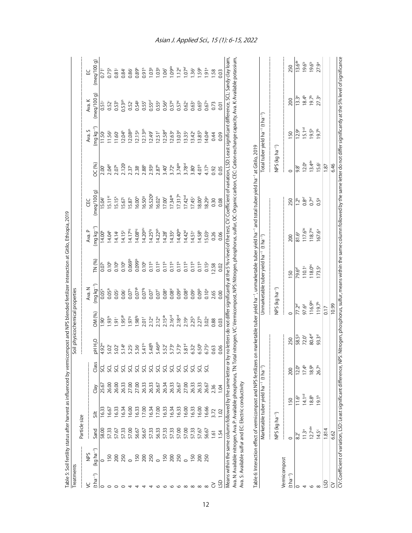| Table 5: Soil fertility status after harvest as influenced by vermic<br>Treatments |                                                                   |                            |                                         |       |                             | compost and NPS blended fertilizer interaction at Gitilo, Ethiopia, 2019 | Soil physicochemical properties |                                      |                                                                 |                           |                                                                                                                                                                                                                              |                            |                                                          |                      |                      |
|------------------------------------------------------------------------------------|-------------------------------------------------------------------|----------------------------|-----------------------------------------|-------|-----------------------------|--------------------------------------------------------------------------|---------------------------------|--------------------------------------|-----------------------------------------------------------------|---------------------------|------------------------------------------------------------------------------------------------------------------------------------------------------------------------------------------------------------------------------|----------------------------|----------------------------------------------------------|----------------------|----------------------|
|                                                                                    |                                                                   | Particle size              |                                         |       |                             |                                                                          |                                 |                                      |                                                                 |                           |                                                                                                                                                                                                                              |                            |                                                          |                      |                      |
| ع)                                                                                 | QAN                                                               |                            |                                         |       |                             |                                                                          |                                 | Ava. N                               |                                                                 | Ava. P                    | ΕC                                                                                                                                                                                                                           |                            | Ava. S                                                   | Ava. K               | R                    |
| $(t ha^{-1})$                                                                      | $(kq ha^{-1})$                                                    | Sand                       | Silt                                    | Clay  | Class                       | <b>DHH<sub>2</sub>O</b>                                                  | OM (%)                          | $(mq kq^{-1})$                       | <b>IN (%)</b>                                                   | $mg\,kg^{-1}$             | (meq/100q)                                                                                                                                                                                                                   | <b>DC(%)</b>               | $\log \log^{-1}$                                         | $($ meq $/100$ g $)$ | (meq/100g)           |
|                                                                                    |                                                                   | 58.00                      | <b>6.33</b>                             | 25.67 | ರ                           | 4.92m                                                                    | ÖĞ                              | $0.05^k$                             | $0.07^{\circ}$                                                  | 14.00 <sup>*</sup>        | 15.04                                                                                                                                                                                                                        | 2.00                       | 11.50 <sup>j</sup>                                       | $0.51$ <sup>j</sup>  | 0.71                 |
| $\circ$                                                                            | <b>150</b>                                                        | 57.33                      | 16.67                                   | 26.00 | š                           | 5.02                                                                     | $.93^{hi}$                      | $0.05$ <sup>*</sup>                  | 0.10 <sup>b</sup>                                               | 14.04 <sup>k</sup>        | 5.11 <sup>kl</sup>                                                                                                                                                                                                           | 2.04 <sup>k</sup>          | 11.56                                                    | $0.52^{i}$           | $0.75^{k}$           |
|                                                                                    | 200                                                               | 57.67                      | 16.33                                   | 26.00 | š                           | 5.02                                                                     | $\overline{9}$                  | 0.05                                 | 0.10 <sup>b</sup>                                               | 14.14                     | $15.15^{k}$                                                                                                                                                                                                                  | $2.07*$                    | 11.60                                                    | 0.53 <sup>h</sup>    | $0.81$ <sup>j</sup>  |
|                                                                                    | 250                                                               | 57.33                      | 16.34                                   | 26.33 |                             | 5.14 <sup>k</sup>                                                        | .95 <sup>gh</sup>               | 0.06                                 | 0.10 <sup>b</sup>                                               | 14.15                     | 15.67                                                                                                                                                                                                                        | 2.120                      | 12.04 <sup>h</sup>                                       | $0.53$ gh            | 0.84                 |
|                                                                                    |                                                                   | 57.00                      | 16.00                                   | 27.00 |                             | 5.25                                                                     | .979                            | 0.07 <sup>h</sup>                    | 0.069 <sup>b</sup>                                              | 14.17 <sup>hi</sup>       | 15.87                                                                                                                                                                                                                        | $2.37$ <sup>i</sup>        | 12.08 <sup>gh</sup>                                      | $0.52^{i}$           | 0.86                 |
|                                                                                    |                                                                   | 56.67                      | 16.33                                   | 27.00 |                             | 5.36                                                                     | 1.98 <sup>fg</sup>              | 0.079h                               | 0.099 <sup>b</sup>                                              | 14.08 <sup>hij</sup>      | $16.00^{h}$                                                                                                                                                                                                                  | 2.38                       | 12.159                                                   | 0.549                | 0.89 <sup>h</sup>    |
|                                                                                    |                                                                   | 56.67                      | 17.00                                   | 26.33 | <u>ដ្ឋមិន្តិដ្ឋមិន្ទី ដ</u> | 5.41 <sup>hi</sup>                                                       | $2.01$ <sup>f</sup>             | $0.07^{\mathrm{fg}}$                 | 0.10 <sup>b</sup>                                               | 14.20 <sup>ghi</sup>      | 16.509                                                                                                                                                                                                                       | 2.88 <sup>h</sup>          | $12.13$ <sup>gh</sup>                                    | $0.55^{f}$           | 0.91 <sup>h</sup>    |
|                                                                                    |                                                                   | 57.33                      | 16.34                                   | 26.33 |                             | 5.48 <sup>fg</sup>                                                       | 2.12 <sup>e</sup>               | $0.07$ <sup><math>\circ</math></sup> | 0.11 <sup>b</sup>                                               | 14.25 <sup>fg</sup>       | 16.5209                                                                                                                                                                                                                      | 2.939                      | $12.49^{f}$                                              | $0.55$ ef            | 1.039                |
| ⊙                                                                                  |                                                                   | 56.33                      | 17.00                                   | 26.67 |                             | 5.46 <sup>gh</sup>                                                       |                                 | $0.07$ <sup><math>\circ</math></sup> | 0.11 <sup>b</sup>                                               | $14.22^{gh}$              | $16.02^{h}$                                                                                                                                                                                                                  | 2.87 <sup>h</sup>          | $12.51^{f}$                                              | 0.55e                | 1.039                |
| $\circ$                                                                            |                                                                   | 57.33                      | 16.33                                   | 26.34 |                             | 5.52                                                                     | $2.12^e$<br>$2.15^{\text{de}}$  | $0.08^{\circ}$                       | 0.11 <sup>b</sup>                                               | 14.28                     | 17.00f                                                                                                                                                                                                                       | 3.40                       | $12.58$ <sup>ef</sup>                                    | 0.56 <sup>d</sup>    | 1.06 <sup>f</sup>    |
| $\circ$                                                                            |                                                                   | 57.33                      | 16.34                                   | 26.33 |                             | 5.73 <sup>e</sup>                                                        | 2.16 <sup>cd</sup>              | 0.08 <sup>d</sup>                    | 0.11 <sup>b</sup>                                               | 14.35e                    | $17.34$ <sup>de</sup>                                                                                                                                                                                                        | $3.72$ <sup>e</sup>        | $12.63^e$                                                | 0.57 <sup>d</sup>    | 1.09 <sup>de</sup>   |
| ١O                                                                                 |                                                                   | 57.00                      | 16.33                                   | 26.67 |                             | 5.73 <sup>e</sup>                                                        | 2.18 <sup>cd</sup>              | 0.09 <sup>d</sup>                    | 0.11 <sup>b</sup>                                               | 14.40 <sup>de</sup>       | 17.317e                                                                                                                                                                                                                      | $3.74$ <sup>de</sup>       | 13.03 <sup>d</sup>                                       | 0.57 <sup>d</sup>    | $1.12^{d}$           |
| $\infty$                                                                           |                                                                   | 57.00                      | 16.00                                   | 27.00 |                             | 5.81 <sup>d</sup>                                                        | 2.19 <sup>c</sup>               | 0.08 <sup>d</sup>                    | 0.11 <sup>b</sup>                                               | $14.42^d$                 | 17.42 <sup>cd</sup>                                                                                                                                                                                                          | 3.78 <sup>cd</sup>         | 13.35c                                                   | 0.62 <sup>c</sup>    | $1.07$ <sup>ef</sup> |
| $\infty$                                                                           | <b>150</b>                                                        | 57.33                      | 16.33                                   | 26.33 | š                           | 6.32 <sup>c</sup>                                                        | 2.25 <sup>b</sup>               | 0.09 <sup>c</sup>                    | 0.11 <sup>b</sup>                                               | 14.51 <sup>c</sup>        | 17.45 <sup>c</sup>                                                                                                                                                                                                           | 3.80 <sup>c</sup>          | 13.42 <sup>c</sup>                                       | 0.63 <sup>c</sup>    | 1.36 <sup>c</sup>    |
| $\infty$                                                                           | $\infty$                                                          | 57.67                      | 16.00                                   | 26.33 | š                           | 6.50 <sup>b</sup>                                                        | 2.27 <sup>b</sup>               | 0.09 <sup>b</sup>                    | 0.11 <sup>b</sup>                                               | 14.58 <sup>b</sup>        | 18.00 <sup>b</sup>                                                                                                                                                                                                           | 4.01 <sup>b</sup>          | 13.85 <sup>b</sup>                                       | $0.65^{b}$           | 1.59b                |
|                                                                                    | 250                                                               | 56.67                      | 16.66                                   | 26.67 | ್ಲರ                         | $6.75^{\circ}$                                                           | 3.02 <sup>a</sup>               | 0.10 <sup>a</sup>                    | $0.15^a$                                                        | <b>15.03</b> <sup>a</sup> | 18.29ª                                                                                                                                                                                                                       | 4.17 <sup>a</sup>          | 14.04ª                                                   | 0.67a                | $1.91$ <sup>a</sup>  |
| 6                                                                                  |                                                                   | $\overline{.}$             | 3.72                                    | 236   |                             | 0.63                                                                     | 0.88                            | 2.65                                 | 2.58                                                            | 0.26                      | 0.30                                                                                                                                                                                                                         | 0.92                       | 0.44                                                     | 0.73                 | 1.58                 |
| So                                                                                 |                                                                   | 1.54                       | 1.02                                    | 1.04  |                             | 0.06                                                                     | 0.03                            | 0.00                                 | 0.02                                                            | 0.06                      | 0.08                                                                                                                                                                                                                         | 0.05                       | 0.09                                                     | 0.01                 | 0.03                 |
|                                                                                    |                                                                   |                            |                                         |       |                             |                                                                          |                                 |                                      |                                                                 |                           | Means within the same column followed by the same letter or by no letters do not differ significantly at the 5 % v level of the test, CV: Coefficient of variation, LSD: Least significant difference, SCL: Sandy clay loam, |                            |                                                          |                      |                      |
|                                                                                    | Ava. N: Available nitrogen, Ava. P: Available phosphorus, TN: Tot |                            |                                         |       |                             |                                                                          |                                 |                                      |                                                                 |                           | al nitrogen, VC: Vermicompost, NPS: Nitrogen, phosphorus, sulfur, OC: Organic carbon, CEC: Cation exchange capacity, Ava. K: Available potassium,                                                                            |                            |                                                          |                      |                      |
|                                                                                    | Ava. S: Available sulfur and EC: Electric conductivity            |                            |                                         |       |                             |                                                                          |                                 |                                      |                                                                 |                           |                                                                                                                                                                                                                              |                            |                                                          |                      |                      |
|                                                                                    | Table 6: Interaction effect of vermicompost and NPS fertilizers   |                            |                                         |       |                             |                                                                          |                                 |                                      |                                                                 |                           | on marketable tuber yield ha <sup>-ı</sup> , unmarketable tuber yield ha <sup>-ı</sup> and total tuber yield ha <sup>-ı</sup> at Gitilo, 2019                                                                                |                            |                                                          |                      |                      |
|                                                                                    |                                                                   |                            | Marketable tuber yield ha <sup>-1</sup> |       | $-$ chd $+$                 |                                                                          |                                 |                                      | Unmarketable tuber yield ha <sup>-1</sup> (t ha <sup>-1</sup> ) |                           |                                                                                                                                                                                                                              |                            | Total tuber yield ha <sup>-1</sup> (t ha <sup>-1</sup> ) |                      |                      |
|                                                                                    |                                                                   |                            |                                         |       |                             |                                                                          |                                 |                                      |                                                                 |                           |                                                                                                                                                                                                                              |                            |                                                          |                      |                      |
|                                                                                    |                                                                   | NPS (kg ha <sup>-1</sup> ) |                                         |       |                             |                                                                          |                                 | NPS (kg ha <sup>-1</sup> )           |                                                                 |                           |                                                                                                                                                                                                                              | NPS (kg ha <sup>-1</sup> ) |                                                          |                      |                      |
| Vermicompost                                                                       |                                                                   |                            |                                         |       |                             |                                                                          |                                 |                                      |                                                                 |                           |                                                                                                                                                                                                                              |                            |                                                          |                      |                      |
| $(t ha^{-1})$                                                                      |                                                                   | $\circ$                    | 150                                     |       | 200                         | 250                                                                      | $\circ$                         |                                      | 50                                                              | 200                       | 250                                                                                                                                                                                                                          | $\circ$                    | 150                                                      | 200                  | 250                  |
|                                                                                    |                                                                   | 82f                        | $1.6^e$                                 |       | $12.0^e$                    | 58.59                                                                    | $77.2$ <sup>ef</sup>            |                                      | 79.6 <sup>ef</sup>                                              | $81.6^e$                  | 1.2 <sup>b</sup>                                                                                                                                                                                                             | $9.8^f$                    | 12.9 <sup>e</sup>                                        | $13.3^e$             | $13.6^{\text{de}}$   |
|                                                                                    |                                                                   | $11.3^e$                   | 14.1 <sup>cd</sup>                      |       | $17.4^{b}$                  | 72.0                                                                     | 97.6 <sup>d</sup>               |                                      | 110.1 <sup>c</sup>                                              | 117.6 <sup>bc</sup>       | $0.8$ ef                                                                                                                                                                                                                     | 12.0 <sup>e</sup>          | 15.1 <sup>cd</sup>                                       | $18.4^{b}$           | 19.6 <sup>b</sup>    |
| $\circ$                                                                            |                                                                   | $12.7$ <sup>cde</sup>      | $18.8^{b}$                              |       | 18.9 <sup>b</sup>           | 80.4 <sup>ef</sup>                                                       | 116.9bc                         |                                      | $118.0^{bc}$                                                    | $118.7^{bc}$              | $0.7$ <sup>ef</sup>                                                                                                                                                                                                          | $13.4^{de}$                | $19.5^{b}$                                               | $19.7^{b}$           | $19.6^{b}$           |
|                                                                                    |                                                                   | 14.5 <sup>c</sup>          | 19.1 <sup>b</sup>                       |       | 26.7 <sup>a</sup>           | 93.3 <sup>d</sup>                                                        | 119.7 <sup>b</sup>              |                                      | $173.5^{a}$                                                     | 167.6 <sup>a</sup>        | 0.59                                                                                                                                                                                                                         | 15.6 <sup>c</sup>          | $19.7^{b}$                                               | $27.3^{a}$           | 27.9ª                |

LSD<br>CV<br>CV:Coefficient of variation, LSD: Least significant difference, NPS: Nitrogen, phosphorus, sulfur, means within the same column followed by the same letter do not differ significantly at the 5% level of significance CV: Coefficient of variation, LSD: Least significant difference, NPS: Nitrogen, phosphorus, sulfur, means within the same column followed by the same letter do not differ significantly at the 5% level of significance CV 6.62 10.99 6.46

LSD 1.814 0.17 1.87

#### Asian J. Applied Sci., 15 (1): 6-15, 2022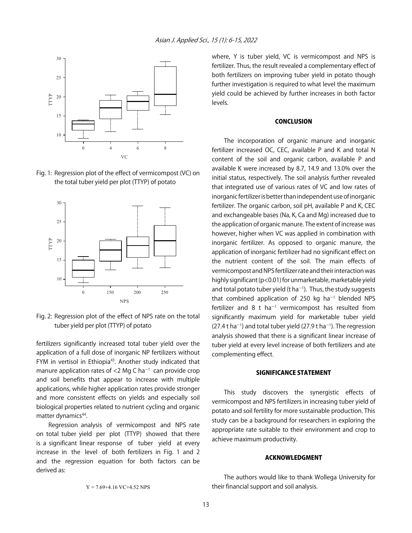

Fig. 1: Regression plot of the effect of vermicompost (VC) on the total tuber yield per plot (TTYP) of potato



Fig. 2: Regression plot of the effect of NPS rate on the total tuber yield per plot (TTYP) of potato

fertilizers significantly increased total tuber yield over the application of a full dose of inorganic NP fertilizers without FYM in vertisol in Ethiopia<sup>43</sup>. Another study indicated that manure application rates of  $<$ 2 Mg C ha<sup>-1</sup> can provide crop and soil benefits that appear to increase with multiple applications, while higher application rates provide stronger and more consistent effects on yields and especially soil biological properties related to nutrient cycling and organic matter dynamics<sup>44</sup>.

Regression analysis of vermicompost and NPS rate on total tuber yield per plot (TTYP) showed that there is a significant linear response of tuber yield at every increase in the level of both fertilizers in Fig. 1 and 2 and the regression equation for both factors can be derived as:

where, Y is tuber yield, VC is vermicompost and NPS is fertilizer. Thus, the result revealed a complementary effect of both fertilizers on improving tuber yield in potato though further investigation is required to what level the maximum yield could be achieved by further increases in both factor levels.

#### **CONCLUSION**

The incorporation of organic manure and inorganic fertilizer increased OC, CEC, available P and K and total N content of the soil and organic carbon, available P and available K were increased by 8.7, 14.9 and 13.0% over the initial status, respectively. The soil analysis further revealed that integrated use of various rates of VC and low rates of inorganic fertilizer is better than independent use of inorganic fertilizer. The organic carbon, soil pH, available P and K, CEC and exchangeable bases (Na, K, Ca and Mg) increased due to the application of organic manure. The extent of increase was however, higher when VC was applied in combination with inorganic fertilizer. As opposed to organic manure, the application of inorganic fertilizer had no significant effect on the nutrient content of the soil. The main effects of vermicompost and NPS fertilizer rate and their interaction was highly significant (p<0.01) for unmarketable, marketable yield and total potato tuber yield (t ha<sup>-1</sup>). Thus, the study suggests that combined application of 250 kg  $ha^{-1}$  blended NPS fertilizer and 8 t ha<sup>-1</sup> vermicompost has resulted from significantly maximum yield for marketable tuber yield  $(27.4 t$  ha<sup>-1</sup>) and total tuber yield  $(27.9 t$  ha<sup>-1</sup>). The regression analysis showed that there is a significant linear increase of tuber yield at every level increase of both fertilizers and ate complementing effect.

#### SIGNIFICANCE STATEMENT

This study discovers the synergistic effects of vermicompost and NPS fertilizers in increasing tuber yield of potato and soil fertility for more sustainable production. This study can be a background for researchers in exploring the appropriate rate suitable to their environment and crop to achieve maximum productivity.

#### ACKNOWLEDGMENT

The authors would like to thank Wollega University for their financial support and soil analysis.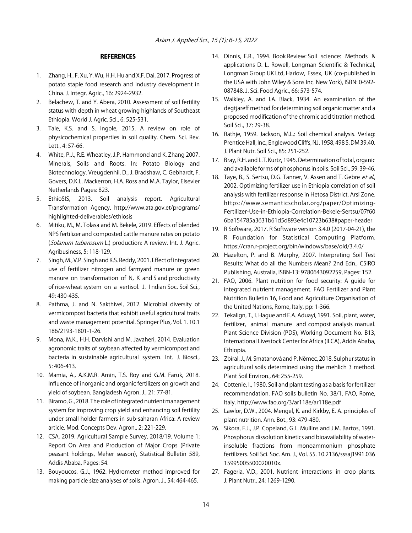#### **REFERENCES**

- 1. Zhang, H., F. Xu, Y. Wu, H.H. Hu and X.F. Dai, 2017. Progress of potato staple food research and industry development in China. J. Integr. Agric., 16: 2924-2932.
- 2. Belachew, T. and Y. Abera, 2010. Assessment of soil fertility status with depth in wheat growing highlands of Southeast Ethiopia. World J. Agric. Sci., 6: 525-531.
- 3. Tale, K.S. and S. Ingole, 2015. A review on role of physicochemical properties in soil quality. Chem. Sci. Rev. Lett., 4: 57-66.
- 4. White, P.J., R.E. Wheatley, J.P. Hammond and K. Zhang 2007. Minerals, Soils and Roots. In: Potato Biology and Biotechnology. Vreugdenhil, D., J. Bradshaw, C. Gebhardt, F. Govers, D.K.L. Mackerron, H.A. Ross and M.A. Taylor, Elsevier Netherlands Pages: 823.
- 5. EthioSIS, 2013. Soil analysis report. Agricultural Transformation Agency. http://www.ata.gov.et/programs/ highlighted-deliverables/ethiosis
- 6. Mitiku, M., M. Tolasa and M. Bekele, 2019. Effects of blended NPS fertilizer and composted cattle manure rates on potato (Solanum tuberosum L.) production: A review. Int. J. Agric. Agribusiness, 5: 118-129.
- 7. Singh, M., V.P. Singh and K.S. Reddy, 2001. Effect of integrated use of fertilizer nitrogen and farmyard manure or green manure on transformation of N, K and S and productivity of rice-wheat system on a vertisol. J. I ndian Soc. Soil Sci., 49: 430-435.
- 8. Pathma, J. and N. Sakthivel, 2012. Microbial diversity of vermicompost bacteria that exhibit useful agricultural traits and waste management potential. Springer Plus, Vol. 1. 10.1 186/2193-1801-1-26.
- 9. Mona, M.K., H.H. Darvishi and M. Javaheri, 2014. Evaluation agronomic traits of soybean affected by vermicompost and bacteria in sustainable agricultural system. Int. J. Biosci., 5: 406-413.
- 10. Mamia, A., A.K.M.R. Amin, T.S. Roy and G.M. Faruk, 2018. Influence of inorganic and organic fertilizers on growth and yield of soybean. Bangladesh Agron. J., 21: 77-81.
- 11. Biramo, G., 2018. The role of integrated nutrient management system for improving crop yield and enhancing soil fertility under small holder farmers in sub-saharan Africa: A review article. Mod. Concepts Dev. Agron., 2: 221-229.
- 12. CSA, 2019. Agricultural Sample Survey, 2018/19. Volume 1: Report On Area and Production of Major Crops (Private peasant holdings, Meher season), Statistical Bulletin 589, Addis Ababa, Pages: 54.
- 13. Bouyoucos, G.J., 1962. Hydrometer method improved for making particle size analyses of soils. Agron. J., 54: 464-465.
- 14. Dinnis, E.R., 1994. Book Review: Soil science: Methods & applications D. L. Rowell, Longman Scientific & Technical, Longman Group UK Ltd, Harlow, Essex, UK (co-published in the USA with John Wiley & Sons Inc. New York), ISBN: 0-592- 087848. J. Sci. Food Agric., 66: 573-574.
- 15. Walkley, A. and I.A. Black, 1934. An examination of the degtjareff method for determining soil organic matter and a proposed modification of the chromic acid titration method. Soil Sci., 37: 29-38.
- 16. Rathje, 1959. Jackson, M.L.: Soil chemical analysis. Verlag: Prentice Hall, Inc., Englewood Cliffs, NJ. 1958, 498 S. DM 39.40. J. Plant Nutr. Soil Sci., 85: 251-252.
- 17. Bray, R.H. and L.T. Kurtz, 1945. Determination of total, organic and available forms of phosphorus in soils. Soil Sci., 59: 39-46.
- 18. Taye, B., S. Sertsu, D.G. Tanner, V. Assen and T. Gebre et al., 2002. Optimizing fertilizer use in Ethiopia correlation of soil analysis with fertilizer response in Hetosa District, Arsi Zone. https://www.semanticscholar.org/paper/Optimizing-Fertilizer-Use-in-Ethiopia-Correlation-Bekele-Sertsu/07f60 6ba154785a3631b61d5d893e4c10723b638#paper-header
- 19. R Software, 2017. R Software version 3.4.0 (2017-04-21), the R Foundation for Statistical Computing Platform. https://cran.r-project.org/bin/windows/base/old/3.4.0/
- 20. Hazelton, P. and B. Murphy, 2007. Interpreting Soil Test Results: What do all the Numbers Mean? 2nd Edn., CSIRO Publishing, Australia, ISBN-13: 9780643092259, Pages: 152.
- 21. FAO, 2006. Plant nutrition for food security: A guide for integrated nutrient management. FAO Fertilizer and Plant Nutrition Bulletin 16, Food and Agriculture Organisation of the United Nations, Rome, Italy, pp: 1-366.
- 22. Tekalign, T., I. Hague and E.A. Aduayi, 1991. Soil, plant, water, fertilizer, animal manure and compost analysis manual. Plant Science Division (PDS), Working Document No. B13, International Livestock Center for Africa (ILCA), Addis Ababa, Ethiopia.
- 23. Zbíral, J., M. Smatanová and P. Němec, 2018. Sulphur status in agricultural soils determined using the mehlich 3 method. Plant Soil Environ., 64: 255-259.
- 24. Cottenie, I., 1980. Soil and plant testing as a basis for fertilizer recommendation. FAO soils bulletin No. 38/1, FAO, Rome, Italy. http://www.fao.org/3/ar118e/ar118e.pdf
- 25. Lawlor, D.W., 2004. Mengel, K. and Kirkby, E. A. principles of plant nutrition. Ann. Bot., 93: 479-480.
- 26. Sikora, F.J., J.P. Copeland, G.L. Mullins and J.M. Bartos, 1991. Phosphorus dissolution kinetics and bioavailability of waterinsoluble fractions from monoammonium phosphate fertilizers. Soil Sci. Soc. Am. J., Vol. 55. 10.2136/sssaj1991.036 15995005500020010x.
- 27. Fageria, V.D., 2001. Nutrient interactions in crop plants. J. Plant Nutr., 24: 1269-1290.